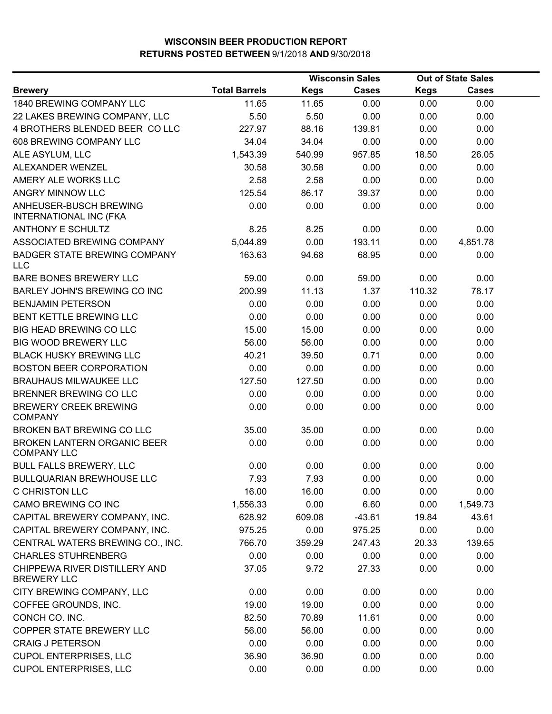|                                                          |                      |             | <b>Wisconsin Sales</b> |             | <b>Out of State Sales</b> |  |
|----------------------------------------------------------|----------------------|-------------|------------------------|-------------|---------------------------|--|
| <b>Brewery</b>                                           | <b>Total Barrels</b> | <b>Kegs</b> | <b>Cases</b>           | <b>Kegs</b> | <b>Cases</b>              |  |
| 1840 BREWING COMPANY LLC                                 | 11.65                | 11.65       | 0.00                   | 0.00        | 0.00                      |  |
| 22 LAKES BREWING COMPANY, LLC                            | 5.50                 | 5.50        | 0.00                   | 0.00        | 0.00                      |  |
| 4 BROTHERS BLENDED BEER COLLC                            | 227.97               | 88.16       | 139.81                 | 0.00        | 0.00                      |  |
| 608 BREWING COMPANY LLC                                  | 34.04                | 34.04       | 0.00                   | 0.00        | 0.00                      |  |
| ALE ASYLUM, LLC                                          | 1,543.39             | 540.99      | 957.85                 | 18.50       | 26.05                     |  |
| ALEXANDER WENZEL                                         | 30.58                | 30.58       | 0.00                   | 0.00        | 0.00                      |  |
| AMERY ALE WORKS LLC                                      | 2.58                 | 2.58        | 0.00                   | 0.00        | 0.00                      |  |
| ANGRY MINNOW LLC                                         | 125.54               | 86.17       | 39.37                  | 0.00        | 0.00                      |  |
| ANHEUSER-BUSCH BREWING<br><b>INTERNATIONAL INC (FKA</b>  | 0.00                 | 0.00        | 0.00                   | 0.00        | 0.00                      |  |
| <b>ANTHONY E SCHULTZ</b>                                 | 8.25                 | 8.25        | 0.00                   | 0.00        | 0.00                      |  |
| ASSOCIATED BREWING COMPANY                               | 5,044.89             | 0.00        | 193.11                 | 0.00        | 4,851.78                  |  |
| <b>BADGER STATE BREWING COMPANY</b><br><b>LLC</b>        | 163.63               | 94.68       | 68.95                  | 0.00        | 0.00                      |  |
| BARE BONES BREWERY LLC                                   | 59.00                | 0.00        | 59.00                  | 0.00        | 0.00                      |  |
| <b>BARLEY JOHN'S BREWING CO INC</b>                      | 200.99               | 11.13       | 1.37                   | 110.32      | 78.17                     |  |
| <b>BENJAMIN PETERSON</b>                                 | 0.00                 | 0.00        | 0.00                   | 0.00        | 0.00                      |  |
| BENT KETTLE BREWING LLC                                  | 0.00                 | 0.00        | 0.00                   | 0.00        | 0.00                      |  |
| <b>BIG HEAD BREWING CO LLC</b>                           | 15.00                | 15.00       | 0.00                   | 0.00        | 0.00                      |  |
| BIG WOOD BREWERY LLC                                     | 56.00                | 56.00       | 0.00                   | 0.00        | 0.00                      |  |
| <b>BLACK HUSKY BREWING LLC</b>                           | 40.21                | 39.50       | 0.71                   | 0.00        | 0.00                      |  |
| <b>BOSTON BEER CORPORATION</b>                           | 0.00                 | 0.00        | 0.00                   | 0.00        | 0.00                      |  |
| <b>BRAUHAUS MILWAUKEE LLC</b>                            | 127.50               | 127.50      | 0.00                   | 0.00        | 0.00                      |  |
| BRENNER BREWING CO LLC                                   | 0.00                 | 0.00        | 0.00                   | 0.00        | 0.00                      |  |
| <b>BREWERY CREEK BREWING</b><br><b>COMPANY</b>           | 0.00                 | 0.00        | 0.00                   | 0.00        | 0.00                      |  |
| BROKEN BAT BREWING CO LLC                                | 35.00                | 35.00       | 0.00                   | 0.00        | 0.00                      |  |
| <b>BROKEN LANTERN ORGANIC BEER</b><br><b>COMPANY LLC</b> | 0.00                 | 0.00        | 0.00                   | 0.00        | 0.00                      |  |
| <b>BULL FALLS BREWERY, LLC</b>                           | 0.00                 | 0.00        | 0.00                   | 0.00        | 0.00                      |  |
| BULLQUARIAN BREWHOUSE LLC                                | 7.93                 | 7.93        | 0.00                   | 0.00        | 0.00                      |  |
| <b>C CHRISTON LLC</b>                                    | 16.00                | 16.00       | 0.00                   | 0.00        | 0.00                      |  |
| CAMO BREWING CO INC                                      | 1,556.33             | 0.00        | 6.60                   | 0.00        | 1,549.73                  |  |
| CAPITAL BREWERY COMPANY, INC.                            | 628.92               | 609.08      | $-43.61$               | 19.84       | 43.61                     |  |
| CAPITAL BREWERY COMPANY, INC.                            | 975.25               | 0.00        | 975.25                 | 0.00        | 0.00                      |  |
| CENTRAL WATERS BREWING CO., INC.                         | 766.70               | 359.29      | 247.43                 | 20.33       | 139.65                    |  |
| <b>CHARLES STUHRENBERG</b>                               | 0.00                 | 0.00        | 0.00                   | 0.00        | 0.00                      |  |
| CHIPPEWA RIVER DISTILLERY AND<br><b>BREWERY LLC</b>      | 37.05                | 9.72        | 27.33                  | 0.00        | 0.00                      |  |
| CITY BREWING COMPANY, LLC                                | 0.00                 | 0.00        | 0.00                   | 0.00        | 0.00                      |  |
| COFFEE GROUNDS, INC.                                     | 19.00                | 19.00       | 0.00                   | 0.00        | 0.00                      |  |
| CONCH CO. INC.                                           | 82.50                | 70.89       | 11.61                  | 0.00        | 0.00                      |  |
| COPPER STATE BREWERY LLC                                 | 56.00                | 56.00       | 0.00                   | 0.00        | 0.00                      |  |
| <b>CRAIG J PETERSON</b>                                  | 0.00                 | 0.00        | 0.00                   | 0.00        | 0.00                      |  |
| <b>CUPOL ENTERPRISES, LLC</b>                            | 36.90                | 36.90       | 0.00                   | 0.00        | 0.00                      |  |
| <b>CUPOL ENTERPRISES, LLC</b>                            | 0.00                 | 0.00        | 0.00                   | 0.00        | 0.00                      |  |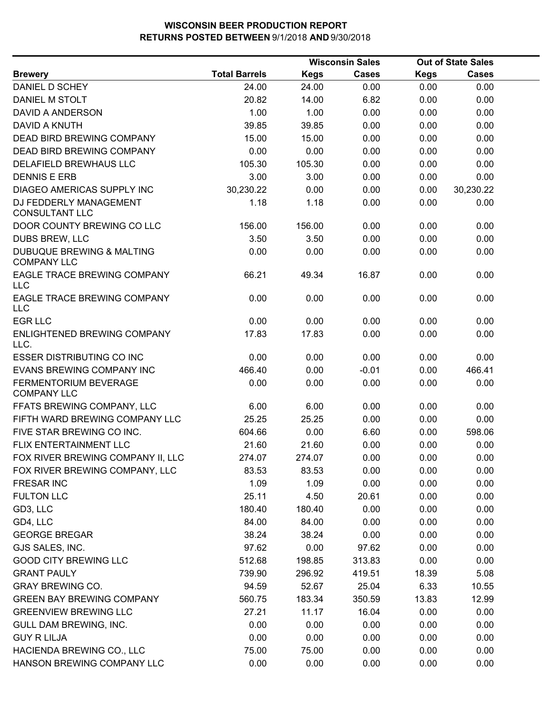|                                                            |                      |             | <b>Wisconsin Sales</b> |             | <b>Out of State Sales</b> |  |
|------------------------------------------------------------|----------------------|-------------|------------------------|-------------|---------------------------|--|
| <b>Brewery</b>                                             | <b>Total Barrels</b> | <b>Kegs</b> | <b>Cases</b>           | <b>Kegs</b> | <b>Cases</b>              |  |
| DANIEL D SCHEY                                             | 24.00                | 24.00       | 0.00                   | 0.00        | 0.00                      |  |
| DANIEL M STOLT                                             | 20.82                | 14.00       | 6.82                   | 0.00        | 0.00                      |  |
| <b>DAVID A ANDERSON</b>                                    | 1.00                 | 1.00        | 0.00                   | 0.00        | 0.00                      |  |
| <b>DAVID A KNUTH</b>                                       | 39.85                | 39.85       | 0.00                   | 0.00        | 0.00                      |  |
| <b>DEAD BIRD BREWING COMPANY</b>                           | 15.00                | 15.00       | 0.00                   | 0.00        | 0.00                      |  |
| <b>DEAD BIRD BREWING COMPANY</b>                           | 0.00                 | 0.00        | 0.00                   | 0.00        | 0.00                      |  |
| DELAFIELD BREWHAUS LLC                                     | 105.30               | 105.30      | 0.00                   | 0.00        | 0.00                      |  |
| <b>DENNIS E ERB</b>                                        | 3.00                 | 3.00        | 0.00                   | 0.00        | 0.00                      |  |
| <b>DIAGEO AMERICAS SUPPLY INC</b>                          | 30,230.22            | 0.00        | 0.00                   | 0.00        | 30,230.22                 |  |
| DJ FEDDERLY MANAGEMENT<br><b>CONSULTANT LLC</b>            | 1.18                 | 1.18        | 0.00                   | 0.00        | 0.00                      |  |
| DOOR COUNTY BREWING CO LLC                                 | 156.00               | 156.00      | 0.00                   | 0.00        | 0.00                      |  |
| DUBS BREW, LLC                                             | 3.50                 | 3.50        | 0.00                   | 0.00        | 0.00                      |  |
| <b>DUBUQUE BREWING &amp; MALTING</b><br><b>COMPANY LLC</b> | 0.00                 | 0.00        | 0.00                   | 0.00        | 0.00                      |  |
| EAGLE TRACE BREWING COMPANY<br><b>LLC</b>                  | 66.21                | 49.34       | 16.87                  | 0.00        | 0.00                      |  |
| EAGLE TRACE BREWING COMPANY<br><b>LLC</b>                  | 0.00                 | 0.00        | 0.00                   | 0.00        | 0.00                      |  |
| <b>EGR LLC</b>                                             | 0.00                 | 0.00        | 0.00                   | 0.00        | 0.00                      |  |
| ENLIGHTENED BREWING COMPANY<br>LLC.                        | 17.83                | 17.83       | 0.00                   | 0.00        | 0.00                      |  |
| <b>ESSER DISTRIBUTING CO INC</b>                           | 0.00                 | 0.00        | 0.00                   | 0.00        | 0.00                      |  |
| EVANS BREWING COMPANY INC                                  | 466.40               | 0.00        | $-0.01$                | 0.00        | 466.41                    |  |
| <b>FERMENTORIUM BEVERAGE</b><br><b>COMPANY LLC</b>         | 0.00                 | 0.00        | 0.00                   | 0.00        | 0.00                      |  |
| FFATS BREWING COMPANY, LLC                                 | 6.00                 | 6.00        | 0.00                   | 0.00        | 0.00                      |  |
| FIFTH WARD BREWING COMPANY LLC                             | 25.25                | 25.25       | 0.00                   | 0.00        | 0.00                      |  |
| FIVE STAR BREWING CO INC.                                  | 604.66               | 0.00        | 6.60                   | 0.00        | 598.06                    |  |
| FLIX ENTERTAINMENT LLC                                     | 21.60                | 21.60       | 0.00                   | 0.00        | 0.00                      |  |
| FOX RIVER BREWING COMPANY II, LLC                          | 274.07               | 274.07      | 0.00                   | 0.00        | 0.00                      |  |
| FOX RIVER BREWING COMPANY, LLC                             | 83.53                | 83.53       | 0.00                   | 0.00        | 0.00                      |  |
| <b>FRESAR INC</b>                                          | 1.09                 | 1.09        | 0.00                   | 0.00        | 0.00                      |  |
| <b>FULTON LLC</b>                                          | 25.11                | 4.50        | 20.61                  | 0.00        | 0.00                      |  |
| GD3, LLC                                                   | 180.40               | 180.40      | 0.00                   | 0.00        | 0.00                      |  |
| GD4, LLC                                                   | 84.00                | 84.00       | 0.00                   | 0.00        | 0.00                      |  |
| <b>GEORGE BREGAR</b>                                       | 38.24                | 38.24       | 0.00                   | 0.00        | 0.00                      |  |
| GJS SALES, INC.                                            | 97.62                | 0.00        | 97.62                  | 0.00        | 0.00                      |  |
| <b>GOOD CITY BREWING LLC</b>                               | 512.68               | 198.85      | 313.83                 | 0.00        | 0.00                      |  |
| <b>GRANT PAULY</b>                                         | 739.90               | 296.92      | 419.51                 | 18.39       | 5.08                      |  |
| <b>GRAY BREWING CO.</b>                                    | 94.59                | 52.67       | 25.04                  | 6.33        | 10.55                     |  |
| <b>GREEN BAY BREWING COMPANY</b>                           | 560.75               | 183.34      | 350.59                 | 13.83       | 12.99                     |  |
| <b>GREENVIEW BREWING LLC</b>                               | 27.21                | 11.17       | 16.04                  | 0.00        | 0.00                      |  |
| GULL DAM BREWING, INC.                                     | 0.00                 | 0.00        | 0.00                   | 0.00        | 0.00                      |  |
| <b>GUY R LILJA</b>                                         | 0.00                 | 0.00        | 0.00                   | 0.00        | 0.00                      |  |
| HACIENDA BREWING CO., LLC                                  | 75.00                | 75.00       | 0.00                   | 0.00        | 0.00                      |  |
| HANSON BREWING COMPANY LLC                                 | 0.00                 | 0.00        | 0.00                   | 0.00        | 0.00                      |  |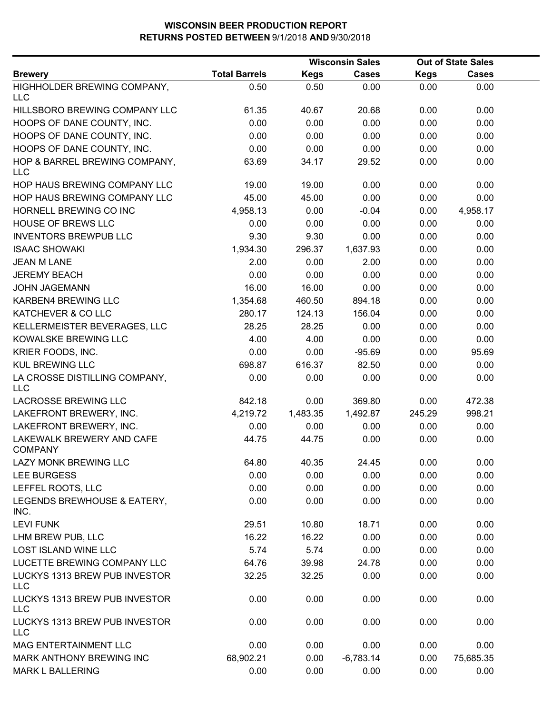|                                             |                      | <b>Wisconsin Sales</b> |              | <b>Out of State Sales</b> |              |  |
|---------------------------------------------|----------------------|------------------------|--------------|---------------------------|--------------|--|
| <b>Brewery</b>                              | <b>Total Barrels</b> | <b>Kegs</b>            | <b>Cases</b> | <b>Kegs</b>               | <b>Cases</b> |  |
| HIGHHOLDER BREWING COMPANY,<br>LLC          | 0.50                 | 0.50                   | 0.00         | 0.00                      | 0.00         |  |
| HILLSBORO BREWING COMPANY LLC               | 61.35                | 40.67                  | 20.68        | 0.00                      | 0.00         |  |
| HOOPS OF DANE COUNTY, INC.                  | 0.00                 | 0.00                   | 0.00         | 0.00                      | 0.00         |  |
| HOOPS OF DANE COUNTY, INC.                  | 0.00                 | 0.00                   | 0.00         | 0.00                      | 0.00         |  |
| HOOPS OF DANE COUNTY, INC.                  | 0.00                 | 0.00                   | 0.00         | 0.00                      | 0.00         |  |
| HOP & BARREL BREWING COMPANY,<br><b>LLC</b> | 63.69                | 34.17                  | 29.52        | 0.00                      | 0.00         |  |
| HOP HAUS BREWING COMPANY LLC                | 19.00                | 19.00                  | 0.00         | 0.00                      | 0.00         |  |
| HOP HAUS BREWING COMPANY LLC                | 45.00                | 45.00                  | 0.00         | 0.00                      | 0.00         |  |
| HORNELL BREWING CO INC                      | 4,958.13             | 0.00                   | $-0.04$      | 0.00                      | 4,958.17     |  |
| <b>HOUSE OF BREWS LLC</b>                   | 0.00                 | 0.00                   | 0.00         | 0.00                      | 0.00         |  |
| <b>INVENTORS BREWPUB LLC</b>                | 9.30                 | 9.30                   | 0.00         | 0.00                      | 0.00         |  |
| <b>ISAAC SHOWAKI</b>                        | 1,934.30             | 296.37                 | 1,637.93     | 0.00                      | 0.00         |  |
| <b>JEAN M LANE</b>                          | 2.00                 | 0.00                   | 2.00         | 0.00                      | 0.00         |  |
| <b>JEREMY BEACH</b>                         | 0.00                 | 0.00                   | 0.00         | 0.00                      | 0.00         |  |
| <b>JOHN JAGEMANN</b>                        | 16.00                | 16.00                  | 0.00         | 0.00                      | 0.00         |  |
| KARBEN4 BREWING LLC                         | 1,354.68             | 460.50                 | 894.18       | 0.00                      | 0.00         |  |
| KATCHEVER & CO LLC                          | 280.17               | 124.13                 | 156.04       | 0.00                      | 0.00         |  |
| KELLERMEISTER BEVERAGES, LLC                | 28.25                | 28.25                  | 0.00         | 0.00                      | 0.00         |  |
| KOWALSKE BREWING LLC                        | 4.00                 | 4.00                   | 0.00         | 0.00                      | 0.00         |  |
| KRIER FOODS, INC.                           | 0.00                 | 0.00                   | $-95.69$     | 0.00                      | 95.69        |  |
| <b>KUL BREWING LLC</b>                      | 698.87               | 616.37                 | 82.50        | 0.00                      | 0.00         |  |
| LA CROSSE DISTILLING COMPANY,<br><b>LLC</b> | 0.00                 | 0.00                   | 0.00         | 0.00                      | 0.00         |  |
| LACROSSE BREWING LLC                        | 842.18               | 0.00                   | 369.80       | 0.00                      | 472.38       |  |
| LAKEFRONT BREWERY, INC.                     | 4,219.72             | 1,483.35               | 1,492.87     | 245.29                    | 998.21       |  |
| LAKEFRONT BREWERY, INC.                     | 0.00                 | 0.00                   | 0.00         | 0.00                      | 0.00         |  |
| LAKEWALK BREWERY AND CAFE<br><b>COMPANY</b> | 44.75                | 44.75                  | 0.00         | 0.00                      | 0.00         |  |
| LAZY MONK BREWING LLC                       | 64.80                | 40.35                  | 24.45        | 0.00                      | 0.00         |  |
| <b>LEE BURGESS</b>                          | 0.00                 | 0.00                   | 0.00         | 0.00                      | 0.00         |  |
| LEFFEL ROOTS, LLC                           | 0.00                 | 0.00                   | 0.00         | 0.00                      | 0.00         |  |
| LEGENDS BREWHOUSE & EATERY,<br>INC.         | 0.00                 | 0.00                   | 0.00         | 0.00                      | 0.00         |  |
| <b>LEVI FUNK</b>                            | 29.51                | 10.80                  | 18.71        | 0.00                      | 0.00         |  |
| LHM BREW PUB, LLC                           | 16.22                | 16.22                  | 0.00         | 0.00                      | 0.00         |  |
| <b>LOST ISLAND WINE LLC</b>                 | 5.74                 | 5.74                   | 0.00         | 0.00                      | 0.00         |  |
| LUCETTE BREWING COMPANY LLC                 | 64.76                | 39.98                  | 24.78        | 0.00                      | 0.00         |  |
| LUCKYS 1313 BREW PUB INVESTOR<br><b>LLC</b> | 32.25                | 32.25                  | 0.00         | 0.00                      | 0.00         |  |
| LUCKYS 1313 BREW PUB INVESTOR<br><b>LLC</b> | 0.00                 | 0.00                   | 0.00         | 0.00                      | 0.00         |  |
| LUCKYS 1313 BREW PUB INVESTOR<br>LLC        | 0.00                 | 0.00                   | 0.00         | 0.00                      | 0.00         |  |
| MAG ENTERTAINMENT LLC                       | 0.00                 | 0.00                   | 0.00         | 0.00                      | 0.00         |  |
| MARK ANTHONY BREWING INC                    | 68,902.21            | 0.00                   | $-6,783.14$  | 0.00                      | 75,685.35    |  |
| <b>MARK L BALLERING</b>                     | 0.00                 | 0.00                   | 0.00         | 0.00                      | 0.00         |  |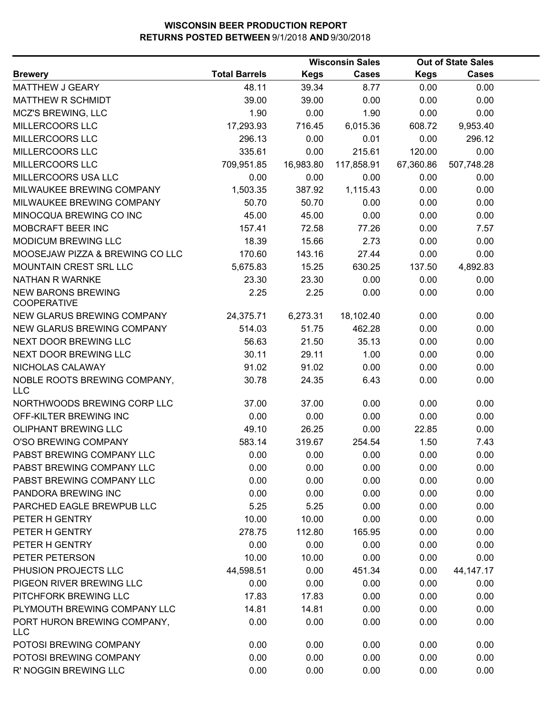|                                                 |                      |             | <b>Wisconsin Sales</b> |             | <b>Out of State Sales</b> |  |
|-------------------------------------------------|----------------------|-------------|------------------------|-------------|---------------------------|--|
| <b>Brewery</b>                                  | <b>Total Barrels</b> | <b>Kegs</b> | <b>Cases</b>           | <b>Kegs</b> | <b>Cases</b>              |  |
| MATTHEW J GEARY                                 | 48.11                | 39.34       | 8.77                   | 0.00        | 0.00                      |  |
| <b>MATTHEW R SCHMIDT</b>                        | 39.00                | 39.00       | 0.00                   | 0.00        | 0.00                      |  |
| MCZ'S BREWING, LLC                              | 1.90                 | 0.00        | 1.90                   | 0.00        | 0.00                      |  |
| MILLERCOORS LLC                                 | 17,293.93            | 716.45      | 6,015.36               | 608.72      | 9,953.40                  |  |
| MILLERCOORS LLC                                 | 296.13               | 0.00        | 0.01                   | 0.00        | 296.12                    |  |
| MILLERCOORS LLC                                 | 335.61               | 0.00        | 215.61                 | 120.00      | 0.00                      |  |
| MILLERCOORS LLC                                 | 709,951.85           | 16,983.80   | 117,858.91             | 67,360.86   | 507,748.28                |  |
| MILLERCOORS USA LLC                             | 0.00                 | 0.00        | 0.00                   | 0.00        | 0.00                      |  |
| MILWAUKEE BREWING COMPANY                       | 1,503.35             | 387.92      | 1,115.43               | 0.00        | 0.00                      |  |
| MILWAUKEE BREWING COMPANY                       | 50.70                | 50.70       | 0.00                   | 0.00        | 0.00                      |  |
| MINOCQUA BREWING CO INC                         | 45.00                | 45.00       | 0.00                   | 0.00        | 0.00                      |  |
| MOBCRAFT BEER INC                               | 157.41               | 72.58       | 77.26                  | 0.00        | 7.57                      |  |
| MODICUM BREWING LLC                             | 18.39                | 15.66       | 2.73                   | 0.00        | 0.00                      |  |
| MOOSEJAW PIZZA & BREWING CO LLC                 | 170.60               | 143.16      | 27.44                  | 0.00        | 0.00                      |  |
| <b>MOUNTAIN CREST SRL LLC</b>                   | 5,675.83             | 15.25       | 630.25                 | 137.50      | 4,892.83                  |  |
| NATHAN R WARNKE                                 | 23.30                | 23.30       | 0.00                   | 0.00        | 0.00                      |  |
| <b>NEW BARONS BREWING</b><br><b>COOPERATIVE</b> | 2.25                 | 2.25        | 0.00                   | 0.00        | 0.00                      |  |
| NEW GLARUS BREWING COMPANY                      | 24,375.71            | 6,273.31    | 18,102.40              | 0.00        | 0.00                      |  |
| NEW GLARUS BREWING COMPANY                      | 514.03               | 51.75       | 462.28                 | 0.00        | 0.00                      |  |
| NEXT DOOR BREWING LLC                           | 56.63                | 21.50       | 35.13                  | 0.00        | 0.00                      |  |
| NEXT DOOR BREWING LLC                           | 30.11                | 29.11       | 1.00                   | 0.00        | 0.00                      |  |
| NICHOLAS CALAWAY                                | 91.02                | 91.02       | 0.00                   | 0.00        | 0.00                      |  |
| NOBLE ROOTS BREWING COMPANY,<br><b>LLC</b>      | 30.78                | 24.35       | 6.43                   | 0.00        | 0.00                      |  |
| NORTHWOODS BREWING CORP LLC                     | 37.00                | 37.00       | 0.00                   | 0.00        | 0.00                      |  |
| OFF-KILTER BREWING INC                          | 0.00                 | 0.00        | 0.00                   | 0.00        | 0.00                      |  |
| <b>OLIPHANT BREWING LLC</b>                     | 49.10                | 26.25       | 0.00                   | 22.85       | 0.00                      |  |
| O'SO BREWING COMPANY                            | 583.14               | 319.67      | 254.54                 | 1.50        | 7.43                      |  |
| PABST BREWING COMPANY LLC                       | 0.00                 | 0.00        | 0.00                   | 0.00        | 0.00                      |  |
| PABST BREWING COMPANY LLC                       | 0.00                 | 0.00        | 0.00                   | 0.00        | 0.00                      |  |
| PABST BREWING COMPANY LLC                       | 0.00                 | 0.00        | 0.00                   | 0.00        | 0.00                      |  |
| PANDORA BREWING INC                             | 0.00                 | 0.00        | 0.00                   | 0.00        | 0.00                      |  |
| PARCHED EAGLE BREWPUB LLC                       | 5.25                 | 5.25        | 0.00                   | 0.00        | 0.00                      |  |
| PETER H GENTRY                                  | 10.00                | 10.00       | 0.00                   | 0.00        | 0.00                      |  |
| PETER H GENTRY                                  | 278.75               | 112.80      | 165.95                 | 0.00        | 0.00                      |  |
| PETER H GENTRY                                  | 0.00                 | 0.00        | 0.00                   | 0.00        | 0.00                      |  |
| PETER PETERSON                                  | 10.00                | 10.00       | 0.00                   | 0.00        | 0.00                      |  |
| PHUSION PROJECTS LLC                            | 44,598.51            | 0.00        | 451.34                 | 0.00        | 44, 147. 17               |  |
| PIGEON RIVER BREWING LLC                        | 0.00                 | 0.00        | 0.00                   | 0.00        | 0.00                      |  |
| PITCHFORK BREWING LLC                           | 17.83                | 17.83       | 0.00                   | 0.00        | 0.00                      |  |
| PLYMOUTH BREWING COMPANY LLC                    | 14.81                | 14.81       | 0.00                   | 0.00        | 0.00                      |  |
| PORT HURON BREWING COMPANY,<br><b>LLC</b>       | 0.00                 | 0.00        | 0.00                   | 0.00        | 0.00                      |  |
| POTOSI BREWING COMPANY                          | 0.00                 | 0.00        | 0.00                   | 0.00        | 0.00                      |  |
| POTOSI BREWING COMPANY                          | 0.00                 | 0.00        | 0.00                   | 0.00        | 0.00                      |  |
| R' NOGGIN BREWING LLC                           | 0.00                 | 0.00        | 0.00                   | 0.00        | 0.00                      |  |
|                                                 |                      |             |                        |             |                           |  |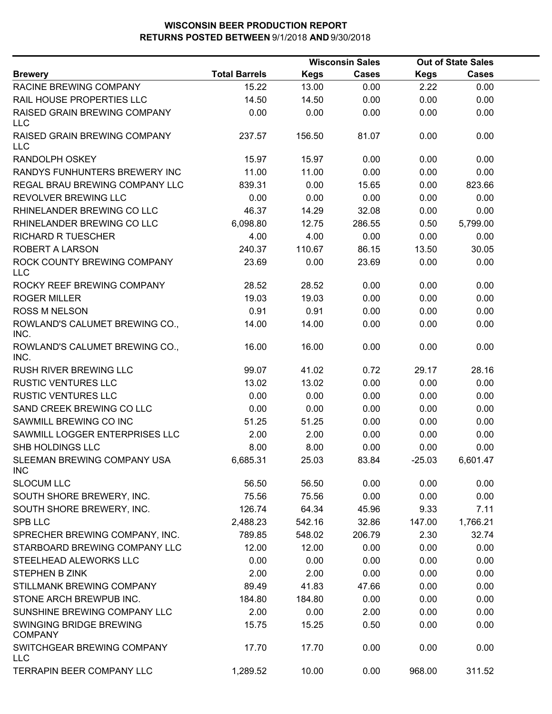|                                            |                      | <b>Wisconsin Sales</b> |              | <b>Out of State Sales</b> |          |  |
|--------------------------------------------|----------------------|------------------------|--------------|---------------------------|----------|--|
| <b>Brewery</b>                             | <b>Total Barrels</b> | Kegs                   | <b>Cases</b> | <b>Kegs</b>               | Cases    |  |
| RACINE BREWING COMPANY                     | 15.22                | 13.00                  | 0.00         | 2.22                      | 0.00     |  |
| RAIL HOUSE PROPERTIES LLC                  | 14.50                | 14.50                  | 0.00         | 0.00                      | 0.00     |  |
| RAISED GRAIN BREWING COMPANY<br><b>LLC</b> | 0.00                 | 0.00                   | 0.00         | 0.00                      | 0.00     |  |
| RAISED GRAIN BREWING COMPANY<br><b>LLC</b> | 237.57               | 156.50                 | 81.07        | 0.00                      | 0.00     |  |
| <b>RANDOLPH OSKEY</b>                      | 15.97                | 15.97                  | 0.00         | 0.00                      | 0.00     |  |
| RANDYS FUNHUNTERS BREWERY INC              | 11.00                | 11.00                  | 0.00         | 0.00                      | 0.00     |  |
| <b>REGAL BRAU BREWING COMPANY LLC</b>      | 839.31               | 0.00                   | 15.65        | 0.00                      | 823.66   |  |
| REVOLVER BREWING LLC                       | 0.00                 | 0.00                   | 0.00         | 0.00                      | 0.00     |  |
| RHINELANDER BREWING CO LLC                 | 46.37                | 14.29                  | 32.08        | 0.00                      | 0.00     |  |
| RHINELANDER BREWING CO LLC                 | 6,098.80             | 12.75                  | 286.55       | 0.50                      | 5,799.00 |  |
| <b>RICHARD R TUESCHER</b>                  | 4.00                 | 4.00                   | 0.00         | 0.00                      | 0.00     |  |
| ROBERT A LARSON                            | 240.37               | 110.67                 | 86.15        | 13.50                     | 30.05    |  |
| ROCK COUNTY BREWING COMPANY<br><b>LLC</b>  | 23.69                | 0.00                   | 23.69        | 0.00                      | 0.00     |  |
| ROCKY REEF BREWING COMPANY                 | 28.52                | 28.52                  | 0.00         | 0.00                      | 0.00     |  |
| <b>ROGER MILLER</b>                        | 19.03                | 19.03                  | 0.00         | 0.00                      | 0.00     |  |
| <b>ROSS M NELSON</b>                       | 0.91                 | 0.91                   | 0.00         | 0.00                      | 0.00     |  |
| ROWLAND'S CALUMET BREWING CO.,<br>INC.     | 14.00                | 14.00                  | 0.00         | 0.00                      | 0.00     |  |
| ROWLAND'S CALUMET BREWING CO.,<br>INC.     | 16.00                | 16.00                  | 0.00         | 0.00                      | 0.00     |  |
| <b>RUSH RIVER BREWING LLC</b>              | 99.07                | 41.02                  | 0.72         | 29.17                     | 28.16    |  |
| RUSTIC VENTURES LLC                        | 13.02                | 13.02                  | 0.00         | 0.00                      | 0.00     |  |
| <b>RUSTIC VENTURES LLC</b>                 | 0.00                 | 0.00                   | 0.00         | 0.00                      | 0.00     |  |
| SAND CREEK BREWING CO LLC                  | 0.00                 | 0.00                   | 0.00         | 0.00                      | 0.00     |  |
| SAWMILL BREWING CO INC                     | 51.25                | 51.25                  | 0.00         | 0.00                      | 0.00     |  |
| SAWMILL LOGGER ENTERPRISES LLC             | 2.00                 | 2.00                   | 0.00         | 0.00                      | 0.00     |  |
| SHB HOLDINGS LLC                           | 8.00                 | 8.00                   | 0.00         | 0.00                      | 0.00     |  |
| SLEEMAN BREWING COMPANY USA<br><b>INC</b>  | 6,685.31             | 25.03                  | 83.84        | $-25.03$                  | 6,601.47 |  |
| <b>SLOCUM LLC</b>                          | 56.50                | 56.50                  | 0.00         | 0.00                      | 0.00     |  |
| SOUTH SHORE BREWERY, INC.                  | 75.56                | 75.56                  | 0.00         | 0.00                      | 0.00     |  |
| SOUTH SHORE BREWERY, INC.                  | 126.74               | 64.34                  | 45.96        | 9.33                      | 7.11     |  |
| <b>SPB LLC</b>                             | 2,488.23             | 542.16                 | 32.86        | 147.00                    | 1,766.21 |  |
| SPRECHER BREWING COMPANY, INC.             | 789.85               | 548.02                 | 206.79       | 2.30                      | 32.74    |  |
| STARBOARD BREWING COMPANY LLC              | 12.00                | 12.00                  | 0.00         | 0.00                      | 0.00     |  |
| STEELHEAD ALEWORKS LLC                     | 0.00                 | 0.00                   | 0.00         | 0.00                      | 0.00     |  |
| STEPHEN B ZINK                             | 2.00                 | 2.00                   | 0.00         | 0.00                      | 0.00     |  |
| STILLMANK BREWING COMPANY                  | 89.49                | 41.83                  | 47.66        | 0.00                      | 0.00     |  |
| STONE ARCH BREWPUB INC.                    | 184.80               | 184.80                 | 0.00         | 0.00                      | 0.00     |  |
| SUNSHINE BREWING COMPANY LLC               | 2.00                 | 0.00                   | 2.00         | 0.00                      | 0.00     |  |
| SWINGING BRIDGE BREWING<br><b>COMPANY</b>  | 15.75                | 15.25                  | 0.50         | 0.00                      | 0.00     |  |
| SWITCHGEAR BREWING COMPANY<br><b>LLC</b>   | 17.70                | 17.70                  | 0.00         | 0.00                      | 0.00     |  |
| TERRAPIN BEER COMPANY LLC                  | 1,289.52             | 10.00                  | 0.00         | 968.00                    | 311.52   |  |